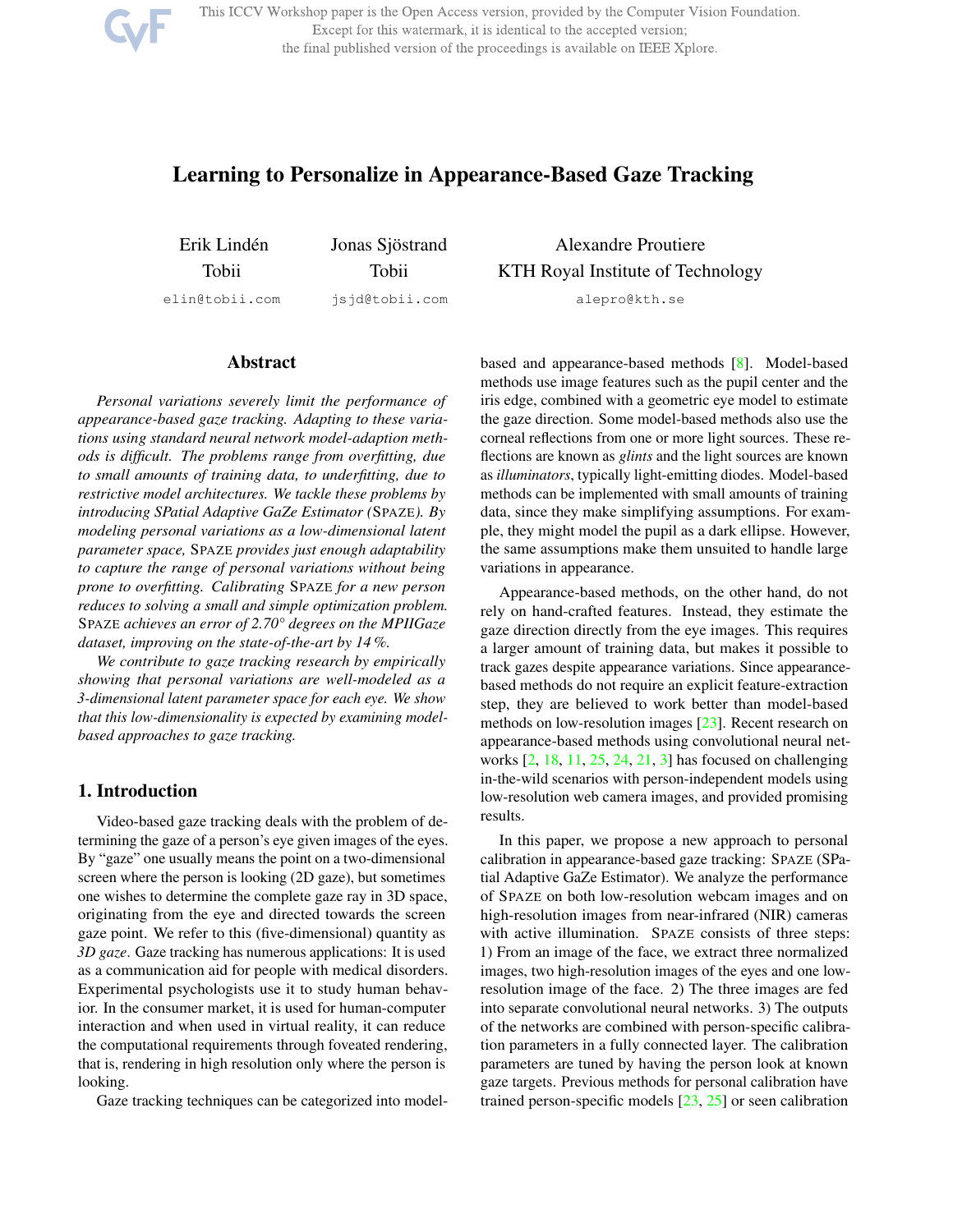

This ICCV Workshop paper is the Open Access version, provided by the Computer Vision Foundation. Except for this watermark, it is identical to the accepted version; the final published version of the proceedings is available on IEEE Xplore.

# Learning to Personalize in Appearance-Based Gaze Tracking

Erik Linden´ Tobii elin@tobii.com Jonas Sjöstrand Tobii jsjd@tobii.com

## Abstract

*Personal variations severely limit the performance of appearance-based gaze tracking. Adapting to these variations using standard neural network model-adaption methods is difficult. The problems range from overfitting, due to small amounts of training data, to underfitting, due to restrictive model architectures. We tackle these problems by introducing SPatial Adaptive GaZe Estimator (*SPAZE*). By modeling personal variations as a low-dimensional latent parameter space,* SPAZE *provides just enough adaptability to capture the range of personal variations without being prone to overfitting. Calibrating* SPAZE *for a new person reduces to solving a small and simple optimization problem.* SPAZE *achieves an error of 2.70° degrees on the MPIIGaze dataset, improving on the state-of-the-art by 14 %.*

*We contribute to gaze tracking research by empirically showing that personal variations are well-modeled as a 3-dimensional latent parameter space for each eye. We show that this low-dimensionality is expected by examining modelbased approaches to gaze tracking.*

### 1. Introduction

Video-based gaze tracking deals with the problem of determining the gaze of a person's eye given images of the eyes. By "gaze" one usually means the point on a two-dimensional screen where the person is looking (2D gaze), but sometimes one wishes to determine the complete gaze ray in 3D space, originating from the eye and directed towards the screen gaze point. We refer to this (five-dimensional) quantity as *3D gaze*. Gaze tracking has numerous applications: It is used as a communication aid for people with medical disorders. Experimental psychologists use it to study human behavior. In the consumer market, it is used for human-computer interaction and when used in virtual reality, it can reduce the computational requirements through foveated rendering, that is, rendering in high resolution only where the person is looking.

Gaze tracking techniques can be categorized into model-

Alexandre Proutiere KTH Royal Institute of Technology

alepro@kth.se

based and appearance-based methods [8]. Model-based methods use image features such as the pupil center and the iris edge, combined with a geometric eye model to estimate the gaze direction. Some model-based methods also use the corneal reflections from one or more light sources. These reflections are known as *glints* and the light sources are known as *illuminators*, typically light-emitting diodes. Model-based methods can be implemented with small amounts of training data, since they make simplifying assumptions. For example, they might model the pupil as a dark ellipse. However, the same assumptions make them unsuited to handle large variations in appearance.

Appearance-based methods, on the other hand, do not rely on hand-crafted features. Instead, they estimate the gaze direction directly from the eye images. This requires a larger amount of training data, but makes it possible to track gazes despite appearance variations. Since appearancebased methods do not require an explicit feature-extraction step, they are believed to work better than model-based methods on low-resolution images [23]. Recent research on appearance-based methods using convolutional neural networks [2, 18, 11, 25, 24, 21, 3] has focused on challenging in-the-wild scenarios with person-independent models using low-resolution web camera images, and provided promising results.

In this paper, we propose a new approach to personal calibration in appearance-based gaze tracking: SPAZE (SPatial Adaptive GaZe Estimator). We analyze the performance of SPAZE on both low-resolution webcam images and on high-resolution images from near-infrared (NIR) cameras with active illumination. SPAZE consists of three steps: 1) From an image of the face, we extract three normalized images, two high-resolution images of the eyes and one lowresolution image of the face. 2) The three images are fed into separate convolutional neural networks. 3) The outputs of the networks are combined with person-specific calibration parameters in a fully connected layer. The calibration parameters are tuned by having the person look at known gaze targets. Previous methods for personal calibration have trained person-specific models [23, 25] or seen calibration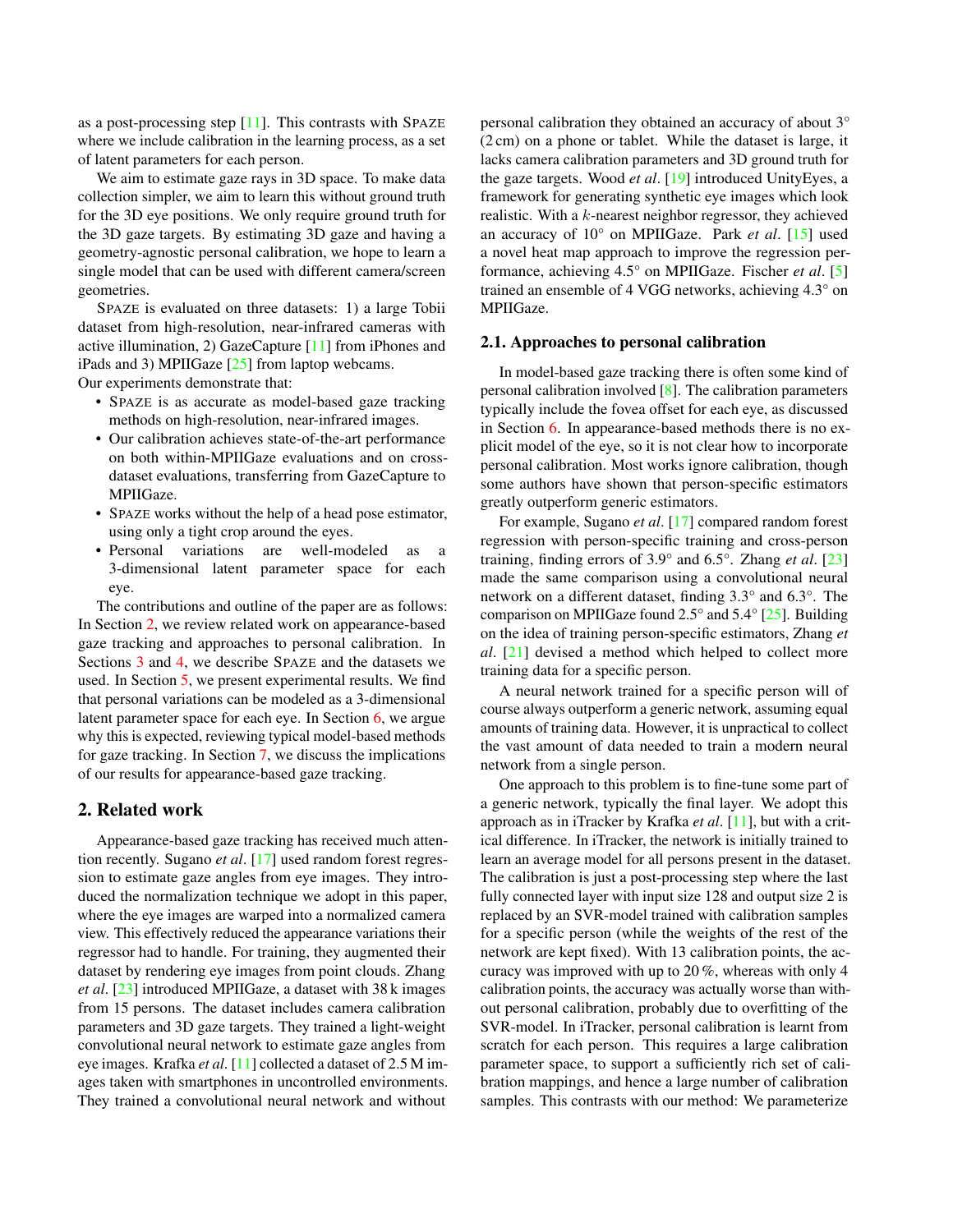as a post-processing step  $[11]$ . This contrasts with SPAZE where we include calibration in the learning process, as a set of latent parameters for each person.

We aim to estimate gaze rays in 3D space. To make data collection simpler, we aim to learn this without ground truth for the 3D eye positions. We only require ground truth for the 3D gaze targets. By estimating 3D gaze and having a geometry-agnostic personal calibration, we hope to learn a single model that can be used with different camera/screen geometries.

SPAZE is evaluated on three datasets: 1) a large Tobii dataset from high-resolution, near-infrared cameras with active illumination, 2) GazeCapture [11] from iPhones and iPads and 3) MPIIGaze  $[25]$  from laptop webcams.

Our experiments demonstrate that:

- SPAZE is as accurate as model-based gaze tracking methods on high-resolution, near-infrared images.
- Our calibration achieves state-of-the-art performance on both within-MPIIGaze evaluations and on crossdataset evaluations, transferring from GazeCapture to MPIIGaze.
- SPAZE works without the help of a head pose estimator, using only a tight crop around the eyes.
- Personal variations are well-modeled as a 3-dimensional latent parameter space for each eye.

The contributions and outline of the paper are as follows: In Section 2, we review related work on appearance-based gaze tracking and approaches to personal calibration. In Sections 3 and 4, we describe SPAZE and the datasets we used. In Section 5, we present experimental results. We find that personal variations can be modeled as a 3-dimensional latent parameter space for each eye. In Section 6, we argue why this is expected, reviewing typical model-based methods for gaze tracking. In Section 7, we discuss the implications of our results for appearance-based gaze tracking.

### 2. Related work

Appearance-based gaze tracking has received much attention recently. Sugano *et al*. [17] used random forest regression to estimate gaze angles from eye images. They introduced the normalization technique we adopt in this paper, where the eye images are warped into a normalized camera view. This effectively reduced the appearance variations their regressor had to handle. For training, they augmented their dataset by rendering eye images from point clouds. Zhang *et al*. [23] introduced MPIIGaze, a dataset with 38 k images from 15 persons. The dataset includes camera calibration parameters and 3D gaze targets. They trained a light-weight convolutional neural network to estimate gaze angles from eye images. Krafka *et al*. [11] collected a dataset of 2.5 M images taken with smartphones in uncontrolled environments. They trained a convolutional neural network and without

personal calibration they obtained an accuracy of about 3° (2 cm) on a phone or tablet. While the dataset is large, it lacks camera calibration parameters and 3D ground truth for the gaze targets. Wood *et al*. [19] introduced UnityEyes, a framework for generating synthetic eye images which look realistic. With a k-nearest neighbor regressor, they achieved an accuracy of 10° on MPIIGaze. Park *et al*. [15] used a novel heat map approach to improve the regression performance, achieving 4.5° on MPIIGaze. Fischer *et al*. [5] trained an ensemble of 4 VGG networks, achieving 4.3° on MPIIGaze.

#### 2.1. Approaches to personal calibration

In model-based gaze tracking there is often some kind of personal calibration involved [8]. The calibration parameters typically include the fovea offset for each eye, as discussed in Section 6. In appearance-based methods there is no explicit model of the eye, so it is not clear how to incorporate personal calibration. Most works ignore calibration, though some authors have shown that person-specific estimators greatly outperform generic estimators.

For example, Sugano *et al*. [17] compared random forest regression with person-specific training and cross-person training, finding errors of 3.9° and 6.5°. Zhang *et al*. [23] made the same comparison using a convolutional neural network on a different dataset, finding 3.3° and 6.3°. The comparison on MPIIGaze found 2.5° and 5.4° [25]. Building on the idea of training person-specific estimators, Zhang *et al*. [21] devised a method which helped to collect more training data for a specific person.

A neural network trained for a specific person will of course always outperform a generic network, assuming equal amounts of training data. However, it is unpractical to collect the vast amount of data needed to train a modern neural network from a single person.

One approach to this problem is to fine-tune some part of a generic network, typically the final layer. We adopt this approach as in iTracker by Krafka *et al*. [11], but with a critical difference. In iTracker, the network is initially trained to learn an average model for all persons present in the dataset. The calibration is just a post-processing step where the last fully connected layer with input size 128 and output size 2 is replaced by an SVR-model trained with calibration samples for a specific person (while the weights of the rest of the network are kept fixed). With 13 calibration points, the accuracy was improved with up to 20 %, whereas with only 4 calibration points, the accuracy was actually worse than without personal calibration, probably due to overfitting of the SVR-model. In iTracker, personal calibration is learnt from scratch for each person. This requires a large calibration parameter space, to support a sufficiently rich set of calibration mappings, and hence a large number of calibration samples. This contrasts with our method: We parameterize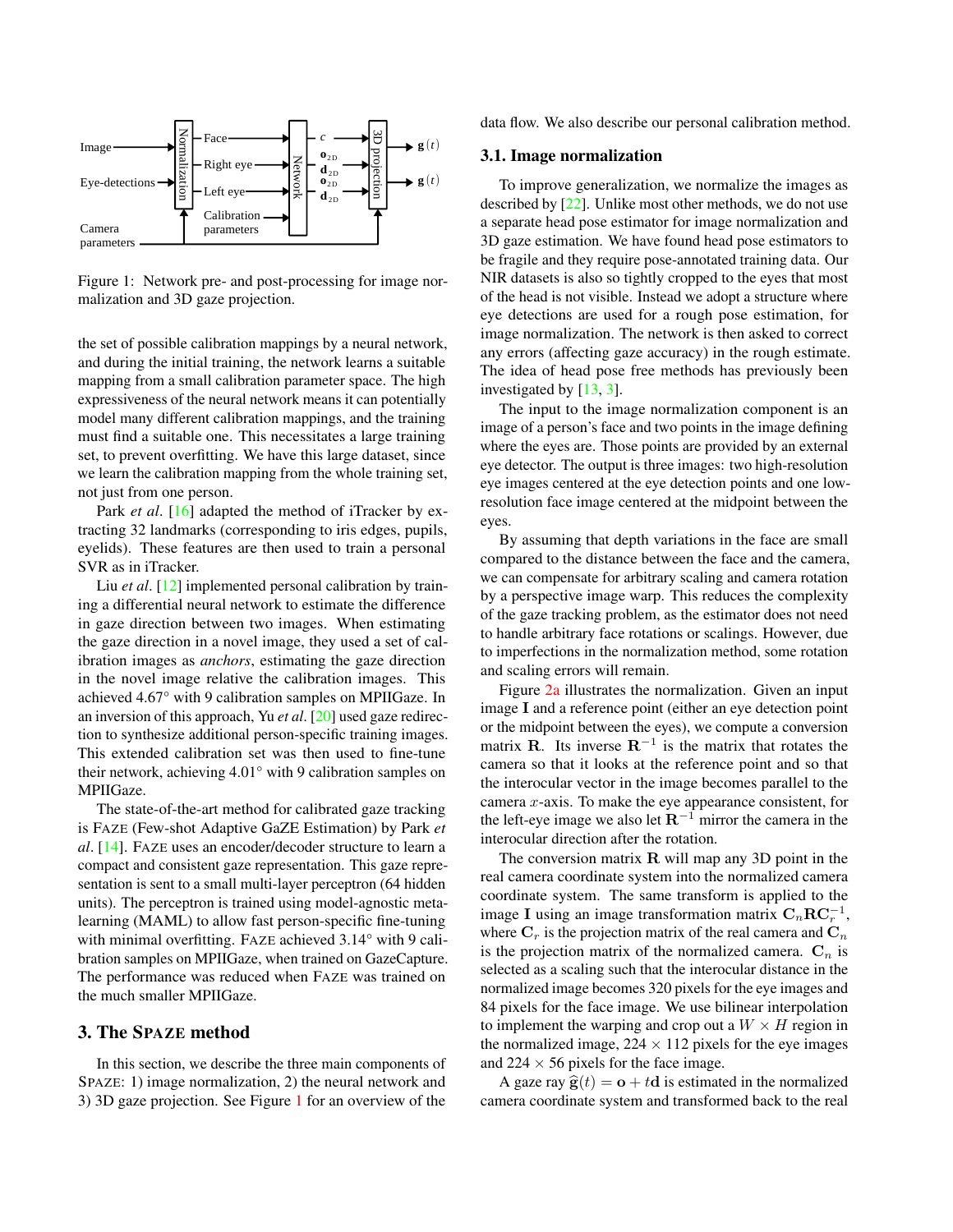

Figure 1: Network pre- and post-processing for image normalization and 3D gaze projection.

the set of possible calibration mappings by a neural network, and during the initial training, the network learns a suitable mapping from a small calibration parameter space. The high expressiveness of the neural network means it can potentially model many different calibration mappings, and the training must find a suitable one. This necessitates a large training set, to prevent overfitting. We have this large dataset, since we learn the calibration mapping from the whole training set, not just from one person.

Park *et al.* [16] adapted the method of iTracker by extracting 32 landmarks (corresponding to iris edges, pupils, eyelids). These features are then used to train a personal SVR as in iTracker.

Liu *et al.* [12] implemented personal calibration by training a differential neural network to estimate the difference in gaze direction between two images. When estimating the gaze direction in a novel image, they used a set of calibration images as *anchors*, estimating the gaze direction in the novel image relative the calibration images. This achieved 4.67° with 9 calibration samples on MPIIGaze. In an inversion of this approach, Yu *et al*. [20] used gaze redirection to synthesize additional person-specific training images. This extended calibration set was then used to fine-tune their network, achieving 4.01° with 9 calibration samples on MPIIGaze.

The state-of-the-art method for calibrated gaze tracking is FAZE (Few-shot Adaptive GaZE Estimation) by Park *et al*. [14]. FAZE uses an encoder/decoder structure to learn a compact and consistent gaze representation. This gaze representation is sent to a small multi-layer perceptron (64 hidden units). The perceptron is trained using model-agnostic metalearning (MAML) to allow fast person-specific fine-tuning with minimal overfitting. FAZE achieved 3.14° with 9 calibration samples on MPIIGaze, when trained on GazeCapture. The performance was reduced when FAZE was trained on the much smaller MPIIGaze.

### 3. The SPAZE method

In this section, we describe the three main components of SPAZE: 1) image normalization, 2) the neural network and 3) 3D gaze projection. See Figure 1 for an overview of the

data flow. We also describe our personal calibration method.

#### 3.1. Image normalization

To improve generalization, we normalize the images as described by [22]. Unlike most other methods, we do not use a separate head pose estimator for image normalization and 3D gaze estimation. We have found head pose estimators to be fragile and they require pose-annotated training data. Our NIR datasets is also so tightly cropped to the eyes that most of the head is not visible. Instead we adopt a structure where eye detections are used for a rough pose estimation, for image normalization. The network is then asked to correct any errors (affecting gaze accuracy) in the rough estimate. The idea of head pose free methods has previously been investigated by [13, 3].

The input to the image normalization component is an image of a person's face and two points in the image defining where the eyes are. Those points are provided by an external eye detector. The output is three images: two high-resolution eye images centered at the eye detection points and one lowresolution face image centered at the midpoint between the eyes.

By assuming that depth variations in the face are small compared to the distance between the face and the camera, we can compensate for arbitrary scaling and camera rotation by a perspective image warp. This reduces the complexity of the gaze tracking problem, as the estimator does not need to handle arbitrary face rotations or scalings. However, due to imperfections in the normalization method, some rotation and scaling errors will remain.

Figure 2a illustrates the normalization. Given an input image I and a reference point (either an eye detection point or the midpoint between the eyes), we compute a conversion matrix **R**. Its inverse  $\mathbf{R}^{-1}$  is the matrix that rotates the camera so that it looks at the reference point and so that the interocular vector in the image becomes parallel to the camera  $x$ -axis. To make the eye appearance consistent, for the left-eye image we also let  $\mathbb{R}^{-1}$  mirror the camera in the interocular direction after the rotation.

The conversion matrix  $\bf{R}$  will map any 3D point in the real camera coordinate system into the normalized camera coordinate system. The same transform is applied to the image I using an image transformation matrix  $\mathbf{C}_n \mathbf{R} \mathbf{C}_r^{-1}$ , where  $C_r$  is the projection matrix of the real camera and  $C_n$ is the projection matrix of the normalized camera.  $C_n$  is selected as a scaling such that the interocular distance in the normalized image becomes 320 pixels for the eye images and 84 pixels for the face image. We use bilinear interpolation to implement the warping and crop out a  $W \times H$  region in the normalized image,  $224 \times 112$  pixels for the eye images and  $224 \times 56$  pixels for the face image.

A gaze ray  $\hat{\mathbf{g}}(t) = \mathbf{o} + t\mathbf{d}$  is estimated in the normalized camera coordinate system and transformed back to the real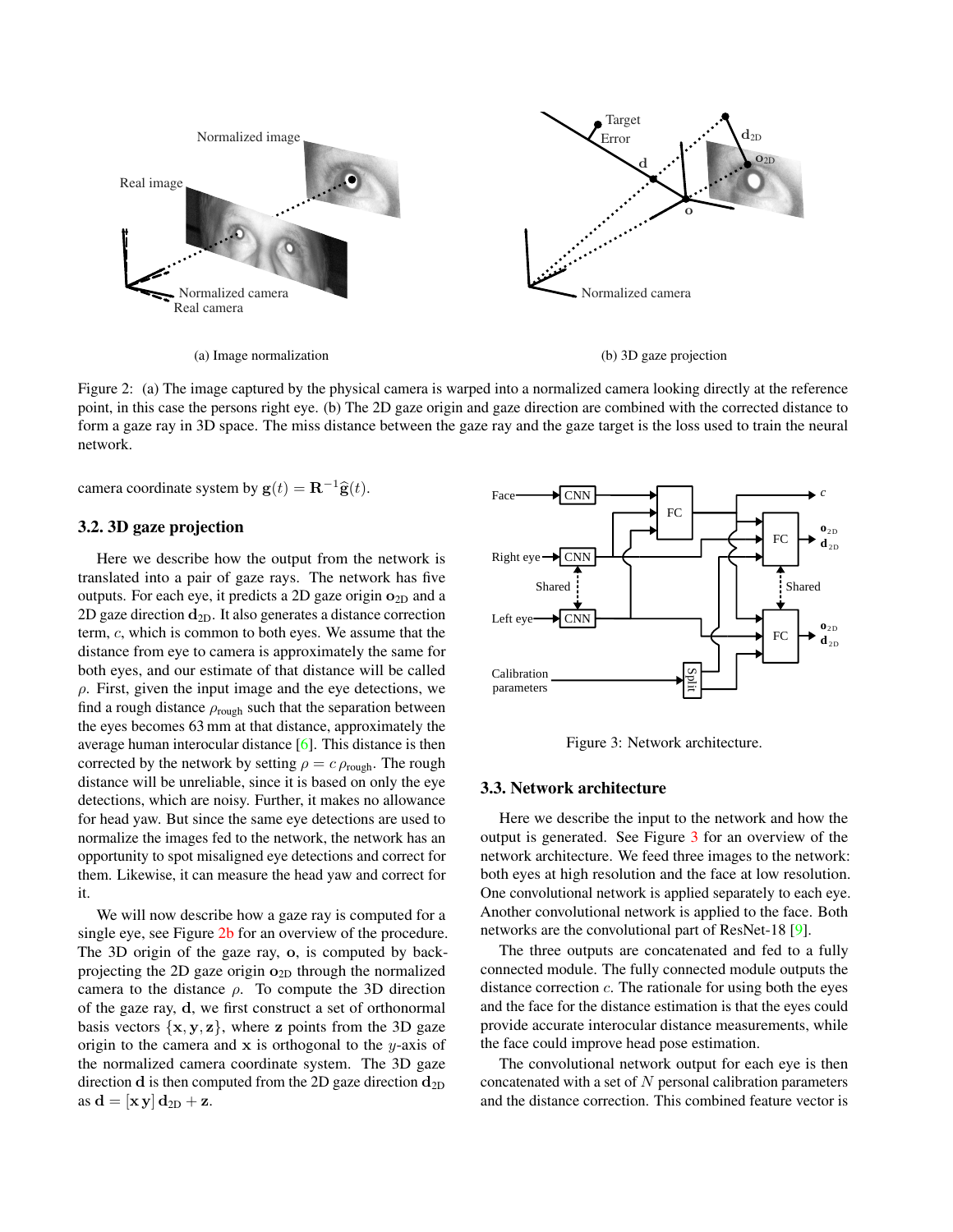

(a) Image normalization

(b) 3D gaze projection

Figure 2: (a) The image captured by the physical camera is warped into a normalized camera looking directly at the reference point, in this case the persons right eye. (b) The 2D gaze origin and gaze direction are combined with the corrected distance to form a gaze ray in 3D space. The miss distance between the gaze ray and the gaze target is the loss used to train the neural network.

camera coordinate system by  $\mathbf{g}(t) = \mathbf{R}^{-1}\widehat{\mathbf{g}}(t)$ .

#### 3.2. 3D gaze projection

Here we describe how the output from the network is translated into a pair of gaze rays. The network has five outputs. For each eye, it predicts a 2D gaze origin  $o_{2D}$  and a 2D gaze direction  $\mathbf{d}_{2D}$ . It also generates a distance correction term, c, which is common to both eyes. We assume that the distance from eye to camera is approximately the same for both eyes, and our estimate of that distance will be called  $\rho$ . First, given the input image and the eye detections, we find a rough distance  $\rho_{\text{rough}}$  such that the separation between the eyes becomes 63 mm at that distance, approximately the average human interocular distance [6]. This distance is then corrected by the network by setting  $\rho = c \rho_{\text{rough}}$ . The rough distance will be unreliable, since it is based on only the eye detections, which are noisy. Further, it makes no allowance for head yaw. But since the same eye detections are used to normalize the images fed to the network, the network has an opportunity to spot misaligned eye detections and correct for them. Likewise, it can measure the head yaw and correct for it.

We will now describe how a gaze ray is computed for a single eye, see Figure 2b for an overview of the procedure. The 3D origin of the gaze ray, o, is computed by backprojecting the 2D gaze origin  $o_{2D}$  through the normalized camera to the distance  $\rho$ . To compute the 3D direction of the gaze ray, d, we first construct a set of orthonormal basis vectors  $\{x, y, z\}$ , where z points from the 3D gaze origin to the camera and  $x$  is orthogonal to the y-axis of the normalized camera coordinate system. The 3D gaze direction **d** is then computed from the 2D gaze direction  $d_{2D}$ as  $\mathbf{d} = [\mathbf{x} \mathbf{y}] \mathbf{d}_{2D} + \mathbf{z}$ .



Figure 3: Network architecture.

#### 3.3. Network architecture

Here we describe the input to the network and how the output is generated. See Figure 3 for an overview of the network architecture. We feed three images to the network: both eyes at high resolution and the face at low resolution. One convolutional network is applied separately to each eye. Another convolutional network is applied to the face. Both networks are the convolutional part of ResNet-18 [9].

The three outputs are concatenated and fed to a fully connected module. The fully connected module outputs the distance correction  $c$ . The rationale for using both the eyes and the face for the distance estimation is that the eyes could provide accurate interocular distance measurements, while the face could improve head pose estimation.

The convolutional network output for each eye is then concatenated with a set of  $N$  personal calibration parameters and the distance correction. This combined feature vector is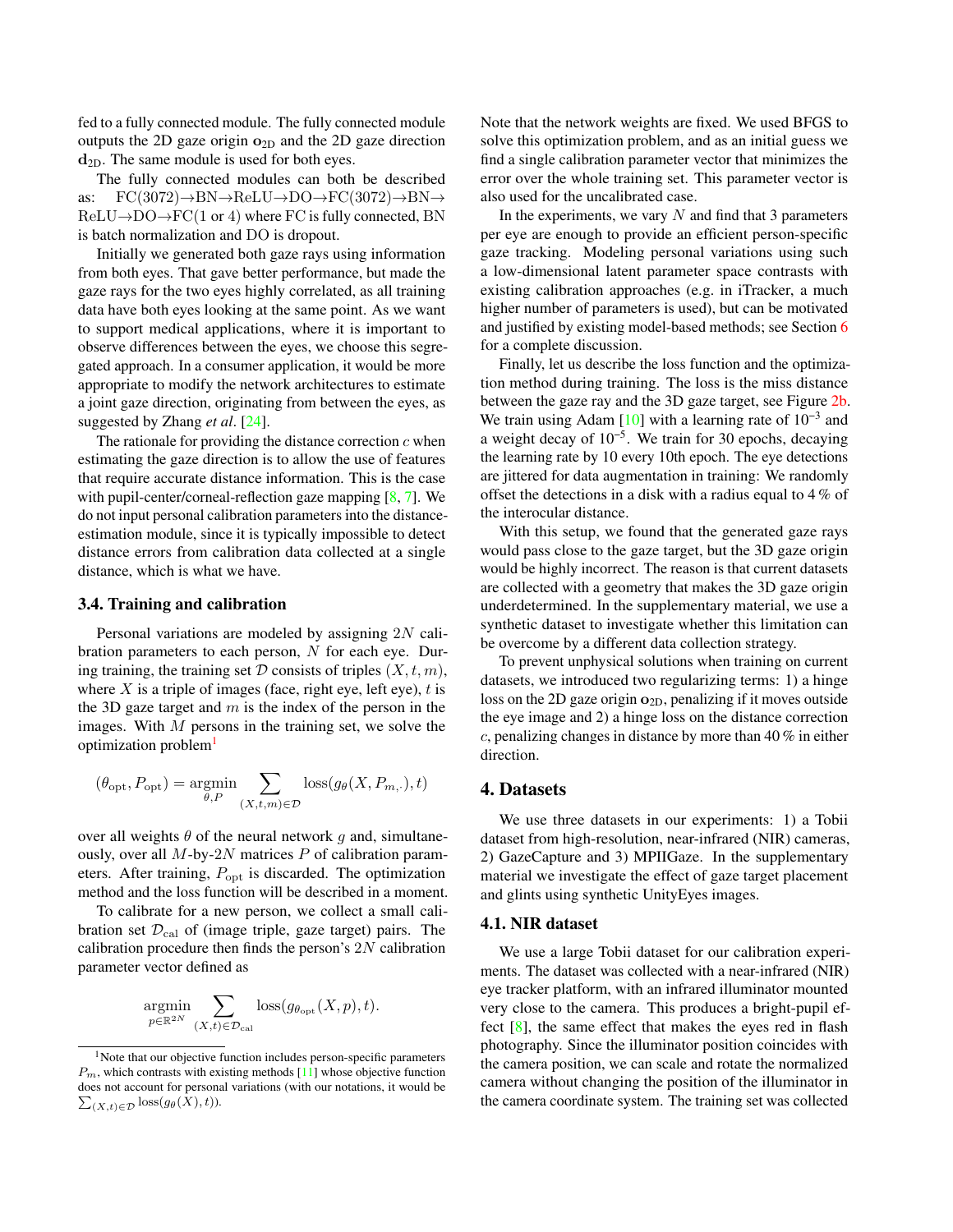fed to a fully connected module. The fully connected module outputs the 2D gaze origin  $o_{2D}$  and the 2D gaze direction  $d_{2D}$ . The same module is used for both eyes.

The fully connected modules can both be described as:  $\text{FC}(3072) \rightarrow \text{BN} \rightarrow \text{ReLU} \rightarrow \text{DO} \rightarrow \text{FC}(3072) \rightarrow \text{BN} \rightarrow$  $ReLU\rightarrow DO\rightarrow FC(1 \text{ or } 4)$  where FC is fully connected, BN is batch normalization and DO is dropout.

Initially we generated both gaze rays using information from both eyes. That gave better performance, but made the gaze rays for the two eyes highly correlated, as all training data have both eyes looking at the same point. As we want to support medical applications, where it is important to observe differences between the eyes, we choose this segregated approach. In a consumer application, it would be more appropriate to modify the network architectures to estimate a joint gaze direction, originating from between the eyes, as suggested by Zhang *et al*. [24].

The rationale for providing the distance correction  $c$  when estimating the gaze direction is to allow the use of features that require accurate distance information. This is the case with pupil-center/corneal-reflection gaze mapping [8, 7]. We do not input personal calibration parameters into the distanceestimation module, since it is typically impossible to detect distance errors from calibration data collected at a single distance, which is what we have.

#### 3.4. Training and calibration

Personal variations are modeled by assigning 2N calibration parameters to each person, N for each eye. During training, the training set  $D$  consists of triples  $(X, t, m)$ , where X is a triple of images (face, right eye, left eye),  $t$  is the 3D gaze target and  $m$  is the index of the person in the images. With  $M$  persons in the training set, we solve the optimization problem<sup>1</sup>

$$
(\theta_{\rm opt}, P_{\rm opt}) = \underset{\theta, P}{\text{argmin}} \sum_{(X, t, m) \in \mathcal{D}} \text{loss}(g_{\theta}(X, P_{m,\cdot}), t)
$$

over all weights  $\theta$  of the neural network g and, simultaneously, over all  $M$ -by- $2N$  matrices  $P$  of calibration parameters. After training,  $P_{\text{opt}}$  is discarded. The optimization method and the loss function will be described in a moment.

To calibrate for a new person, we collect a small calibration set  $\mathcal{D}_{\text{cal}}$  of (image triple, gaze target) pairs. The calibration procedure then finds the person's  $2N$  calibration parameter vector defined as

$$
\mathop{\rm argmin}\limits_{p \in \mathbb{R}^{2N}} \sum_{(X,t) \in \mathcal{D}_{\text{cal}}} \text{loss}(g_{\theta_{\text{opt}}}(X,p), t).
$$

Note that the network weights are fixed. We used BFGS to solve this optimization problem, and as an initial guess we find a single calibration parameter vector that minimizes the error over the whole training set. This parameter vector is also used for the uncalibrated case.

In the experiments, we vary  $N$  and find that 3 parameters per eye are enough to provide an efficient person-specific gaze tracking. Modeling personal variations using such a low-dimensional latent parameter space contrasts with existing calibration approaches (e.g. in iTracker, a much higher number of parameters is used), but can be motivated and justified by existing model-based methods; see Section 6 for a complete discussion.

Finally, let us describe the loss function and the optimization method during training. The loss is the miss distance between the gaze ray and the 3D gaze target, see Figure 2b. We train using Adam [10] with a learning rate of  $10^{-3}$  and a weight decay of  $10^{-5}$ . We train for 30 epochs, decaying the learning rate by 10 every 10th epoch. The eye detections are jittered for data augmentation in training: We randomly offset the detections in a disk with a radius equal to 4 % of the interocular distance.

With this setup, we found that the generated gaze rays would pass close to the gaze target, but the 3D gaze origin would be highly incorrect. The reason is that current datasets are collected with a geometry that makes the 3D gaze origin underdetermined. In the supplementary material, we use a synthetic dataset to investigate whether this limitation can be overcome by a different data collection strategy.

To prevent unphysical solutions when training on current datasets, we introduced two regularizing terms: 1) a hinge loss on the 2D gaze origin  $o_{2D}$ , penalizing if it moves outside the eye image and 2) a hinge loss on the distance correction c, penalizing changes in distance by more than 40 % in either direction.

### 4. Datasets

We use three datasets in our experiments: 1) a Tobii dataset from high-resolution, near-infrared (NIR) cameras, 2) GazeCapture and 3) MPIIGaze. In the supplementary material we investigate the effect of gaze target placement and glints using synthetic UnityEyes images.

### 4.1. NIR dataset

We use a large Tobii dataset for our calibration experiments. The dataset was collected with a near-infrared (NIR) eye tracker platform, with an infrared illuminator mounted very close to the camera. This produces a bright-pupil effect [8], the same effect that makes the eyes red in flash photography. Since the illuminator position coincides with the camera position, we can scale and rotate the normalized camera without changing the position of the illuminator in the camera coordinate system. The training set was collected

<sup>&</sup>lt;sup>1</sup>Note that our objective function includes person-specific parameters  $P_m$ , which contrasts with existing methods [11] whose objective function does not account for personal variations (with our notations, it would be  $\sum_{(X,t)\in\mathcal{D}}$  loss $(g_{\theta}(X), t)$ ).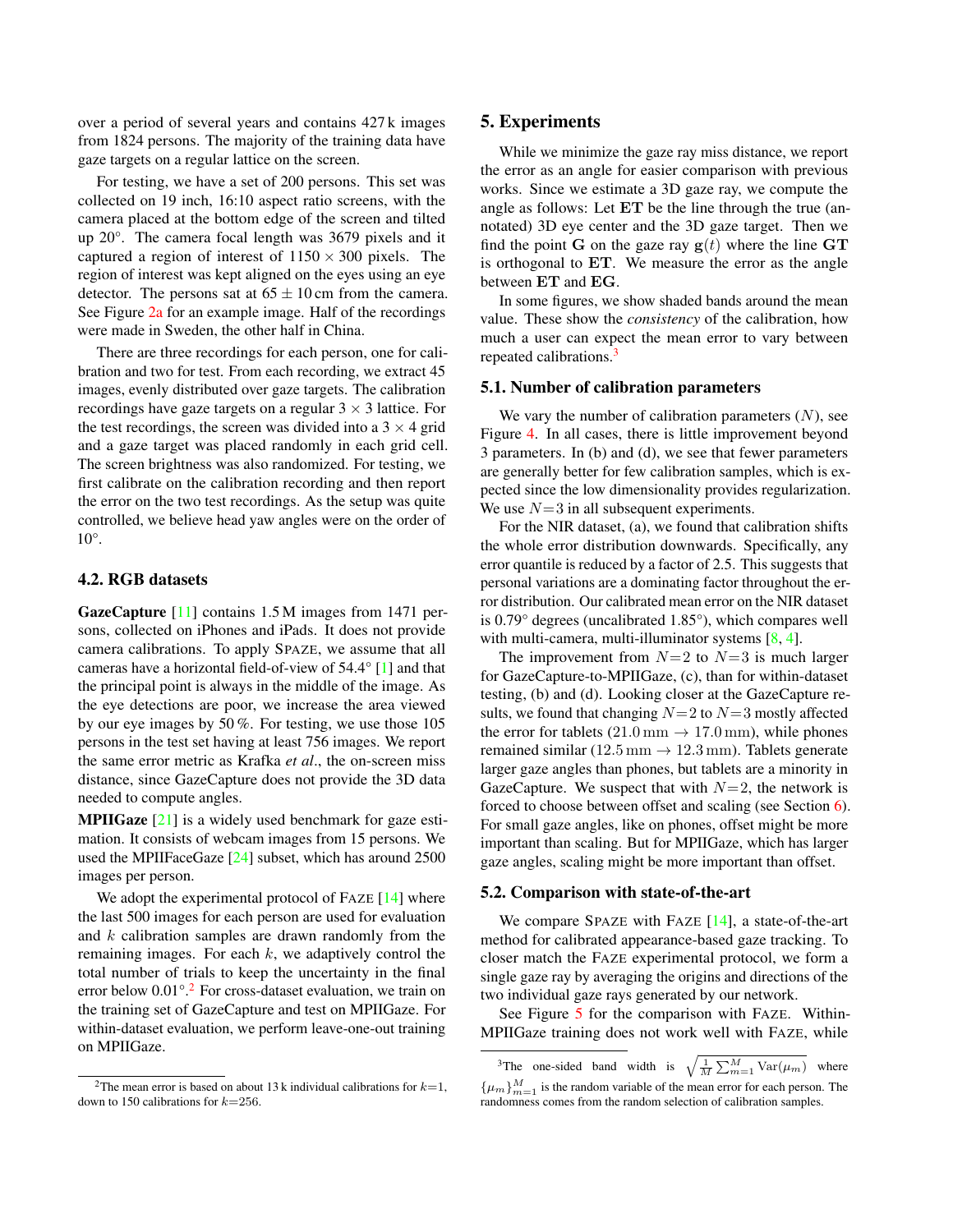over a period of several years and contains 427 k images from 1824 persons. The majority of the training data have gaze targets on a regular lattice on the screen.

For testing, we have a set of 200 persons. This set was collected on 19 inch, 16:10 aspect ratio screens, with the camera placed at the bottom edge of the screen and tilted up 20°. The camera focal length was 3679 pixels and it captured a region of interest of  $1150 \times 300$  pixels. The region of interest was kept aligned on the eyes using an eye detector. The persons sat at  $65 \pm 10$  cm from the camera. See Figure 2a for an example image. Half of the recordings were made in Sweden, the other half in China.

There are three recordings for each person, one for calibration and two for test. From each recording, we extract 45 images, evenly distributed over gaze targets. The calibration recordings have gaze targets on a regular  $3 \times 3$  lattice. For the test recordings, the screen was divided into a  $3 \times 4$  grid and a gaze target was placed randomly in each grid cell. The screen brightness was also randomized. For testing, we first calibrate on the calibration recording and then report the error on the two test recordings. As the setup was quite controlled, we believe head yaw angles were on the order of 10°.

### 4.2. RGB datasets

GazeCapture [11] contains 1.5 M images from 1471 persons, collected on iPhones and iPads. It does not provide camera calibrations. To apply SPAZE, we assume that all cameras have a horizontal field-of-view of 54.4° [1] and that the principal point is always in the middle of the image. As the eye detections are poor, we increase the area viewed by our eye images by 50 %. For testing, we use those 105 persons in the test set having at least 756 images. We report the same error metric as Krafka *et al*., the on-screen miss distance, since GazeCapture does not provide the 3D data needed to compute angles.

MPIIGaze [21] is a widely used benchmark for gaze estimation. It consists of webcam images from 15 persons. We used the MPIIFaceGaze [24] subset, which has around 2500 images per person.

We adopt the experimental protocol of FAZE [14] where the last 500 images for each person are used for evaluation and k calibration samples are drawn randomly from the remaining images. For each  $k$ , we adaptively control the total number of trials to keep the uncertainty in the final error below 0.01°.<sup>2</sup> For cross-dataset evaluation, we train on the training set of GazeCapture and test on MPIIGaze. For within-dataset evaluation, we perform leave-one-out training on MPIIGaze.

### 5. Experiments

While we minimize the gaze ray miss distance, we report the error as an angle for easier comparison with previous works. Since we estimate a 3D gaze ray, we compute the angle as follows: Let ET be the line through the true (annotated) 3D eye center and the 3D gaze target. Then we find the point G on the gaze ray  $g(t)$  where the line GT is orthogonal to ET. We measure the error as the angle between ET and EG.

In some figures, we show shaded bands around the mean value. These show the *consistency* of the calibration, how much a user can expect the mean error to vary between repeated calibrations.<sup>3</sup>

#### 5.1. Number of calibration parameters

We vary the number of calibration parameters  $(N)$ , see Figure 4. In all cases, there is little improvement beyond 3 parameters. In (b) and (d), we see that fewer parameters are generally better for few calibration samples, which is expected since the low dimensionality provides regularization. We use  $N=3$  in all subsequent experiments.

For the NIR dataset, (a), we found that calibration shifts the whole error distribution downwards. Specifically, any error quantile is reduced by a factor of 2.5. This suggests that personal variations are a dominating factor throughout the error distribution. Our calibrated mean error on the NIR dataset is 0.79° degrees (uncalibrated 1.85°), which compares well with multi-camera, multi-illuminator systems [8, 4].

The improvement from  $N=2$  to  $N=3$  is much larger for GazeCapture-to-MPIIGaze, (c), than for within-dataset testing, (b) and (d). Looking closer at the GazeCapture results, we found that changing  $N=2$  to  $N=3$  mostly affected the error for tablets  $(21.0 \text{ mm} \rightarrow 17.0 \text{ mm})$ , while phones remained similar (12.5 mm  $\rightarrow$  12.3 mm). Tablets generate larger gaze angles than phones, but tablets are a minority in GazeCapture. We suspect that with  $N=2$ , the network is forced to choose between offset and scaling (see Section 6). For small gaze angles, like on phones, offset might be more important than scaling. But for MPIIGaze, which has larger gaze angles, scaling might be more important than offset.

#### 5.2. Comparison with state-of-the-art

We compare SPAZE with FAZE [14], a state-of-the-art method for calibrated appearance-based gaze tracking. To closer match the FAZE experimental protocol, we form a single gaze ray by averaging the origins and directions of the two individual gaze rays generated by our network.

See Figure 5 for the comparison with FAZE. Within-MPIIGaze training does not work well with FAZE, while

<sup>&</sup>lt;sup>2</sup>The mean error is based on about 13 k individual calibrations for  $k=1$ , down to 150 calibrations for  $k=256$ .

<sup>&</sup>lt;sup>3</sup>The one-sided band width is  $\sqrt{\frac{1}{M} \sum_{m=1}^{M} \text{Var}(\mu_m)}$  where  ${\{\mu_m\}}_{m=1}^{M}$  is the random variable of the mean error for each person. The randomness comes from the random selection of calibration samples.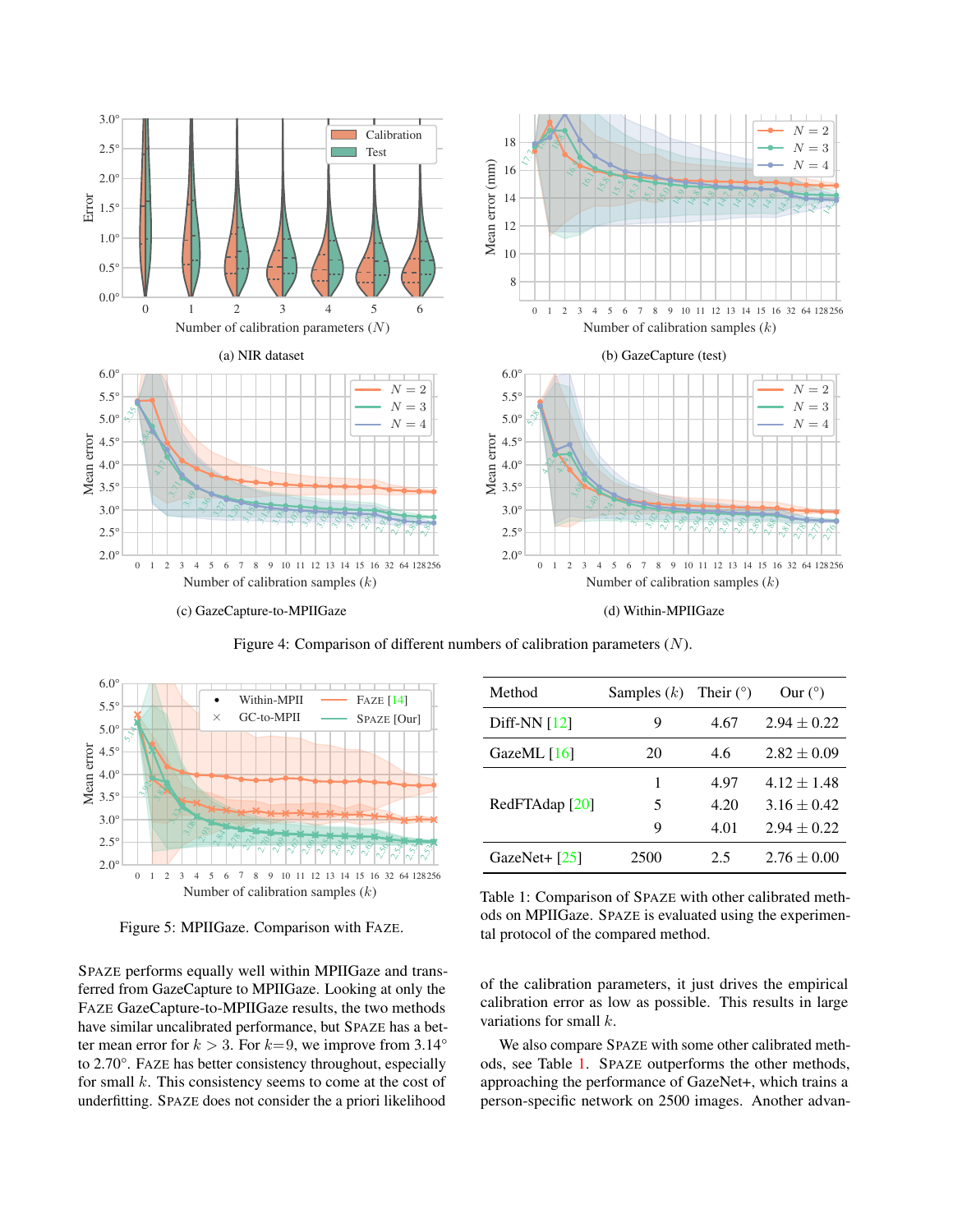

Figure 4: Comparison of different numbers of calibration parameters (N).



Figure 5: MPIIGaze. Comparison with FAZE.

SPAZE performs equally well within MPIIGaze and transferred from GazeCapture to MPIIGaze. Looking at only the FAZE GazeCapture-to-MPIIGaze results, the two methods have similar uncalibrated performance, but SPAZE has a better mean error for  $k > 3$ . For  $k=9$ , we improve from 3.14° to 2.70°. FAZE has better consistency throughout, especially for small  $k$ . This consistency seems to come at the cost of underfitting. SPAZE does not consider the a priori likelihood

| Method                    | Samples $(k)$ | Their $(°)$ | Our $(^\circ)$  |
|---------------------------|---------------|-------------|-----------------|
| Diff-NN $[12]$            | 9             | 4.67        | $2.94 \pm 0.22$ |
| GazeML $[16]$             | 20            | 4.6         | $2.82 \pm 0.09$ |
| RedFTAdap <sup>[20]</sup> | 1             | 4.97        | $4.12 \pm 1.48$ |
|                           | 5             | 4.20        | $3.16 \pm 0.42$ |
|                           | 9             | 4.01        | $2.94 \pm 0.22$ |
| GazeNet+ $[25]$           | 2500          | 2.5         | $2.76 \pm 0.00$ |

Table 1: Comparison of SPAZE with other calibrated methods on MPIIGaze. SPAZE is evaluated using the experimental protocol of the compared method.

of the calibration parameters, it just drives the empirical calibration error as low as possible. This results in large variations for small k.

We also compare SPAZE with some other calibrated methods, see Table 1. SPAZE outperforms the other methods, approaching the performance of GazeNet+, which trains a person-specific network on 2500 images. Another advan-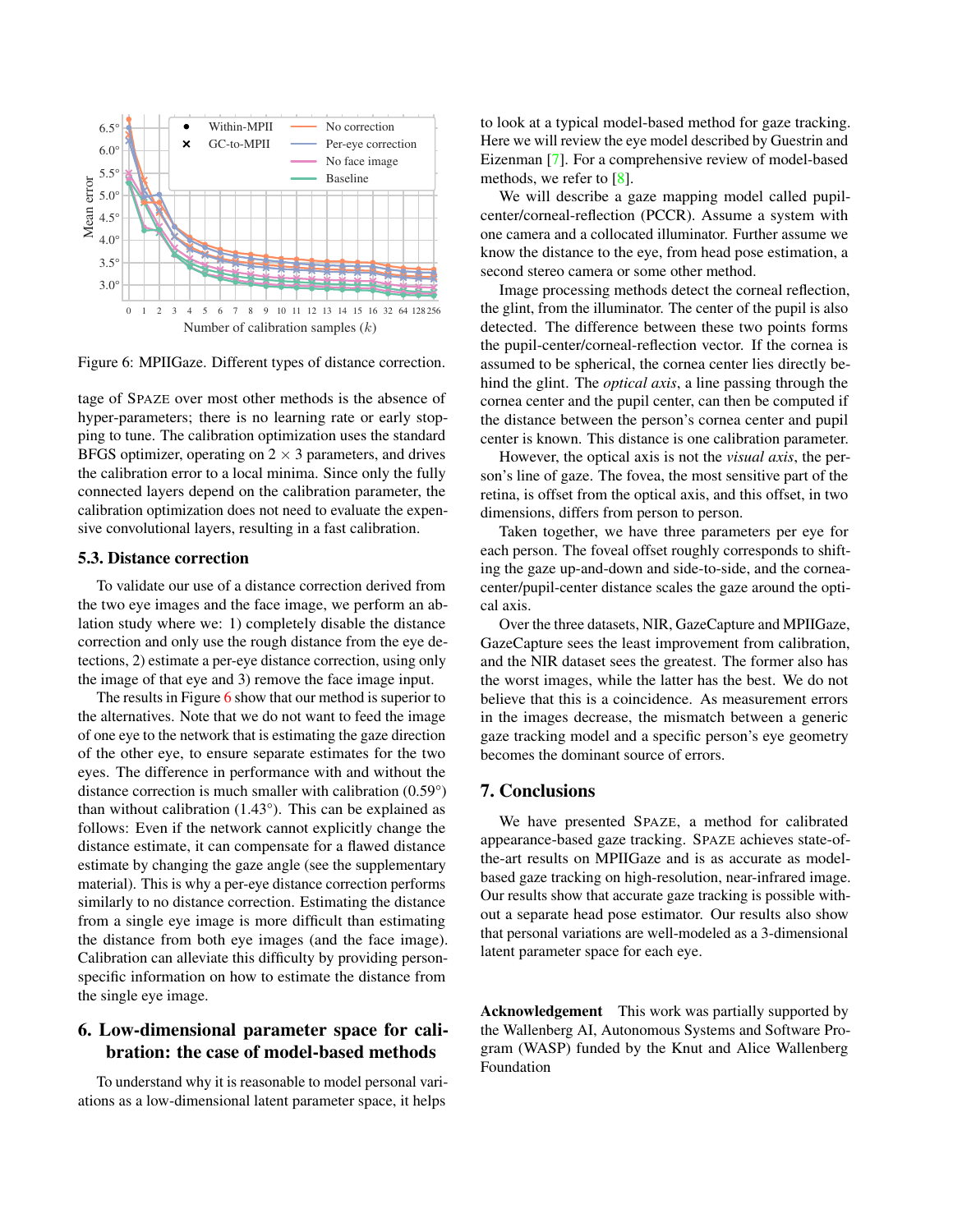

Figure 6: MPIIGaze. Different types of distance correction.

tage of SPAZE over most other methods is the absence of hyper-parameters; there is no learning rate or early stopping to tune. The calibration optimization uses the standard BFGS optimizer, operating on  $2 \times 3$  parameters, and drives the calibration error to a local minima. Since only the fully connected layers depend on the calibration parameter, the calibration optimization does not need to evaluate the expensive convolutional layers, resulting in a fast calibration.

#### 5.3. Distance correction

To validate our use of a distance correction derived from the two eye images and the face image, we perform an ablation study where we: 1) completely disable the distance correction and only use the rough distance from the eye detections, 2) estimate a per-eye distance correction, using only the image of that eye and 3) remove the face image input.

The results in Figure 6 show that our method is superior to the alternatives. Note that we do not want to feed the image of one eye to the network that is estimating the gaze direction of the other eye, to ensure separate estimates for the two eyes. The difference in performance with and without the distance correction is much smaller with calibration (0.59°) than without calibration (1.43°). This can be explained as follows: Even if the network cannot explicitly change the distance estimate, it can compensate for a flawed distance estimate by changing the gaze angle (see the supplementary material). This is why a per-eye distance correction performs similarly to no distance correction. Estimating the distance from a single eye image is more difficult than estimating the distance from both eye images (and the face image). Calibration can alleviate this difficulty by providing personspecific information on how to estimate the distance from the single eye image.

# 6. Low-dimensional parameter space for calibration: the case of model-based methods

To understand why it is reasonable to model personal variations as a low-dimensional latent parameter space, it helps

to look at a typical model-based method for gaze tracking. Here we will review the eye model described by Guestrin and Eizenman [7]. For a comprehensive review of model-based methods, we refer to [8].

We will describe a gaze mapping model called pupilcenter/corneal-reflection (PCCR). Assume a system with one camera and a collocated illuminator. Further assume we know the distance to the eye, from head pose estimation, a second stereo camera or some other method.

Image processing methods detect the corneal reflection, the glint, from the illuminator. The center of the pupil is also detected. The difference between these two points forms the pupil-center/corneal-reflection vector. If the cornea is assumed to be spherical, the cornea center lies directly behind the glint. The *optical axis*, a line passing through the cornea center and the pupil center, can then be computed if the distance between the person's cornea center and pupil center is known. This distance is one calibration parameter.

However, the optical axis is not the *visual axis*, the person's line of gaze. The fovea, the most sensitive part of the retina, is offset from the optical axis, and this offset, in two dimensions, differs from person to person.

Taken together, we have three parameters per eye for each person. The foveal offset roughly corresponds to shifting the gaze up-and-down and side-to-side, and the corneacenter/pupil-center distance scales the gaze around the optical axis.

Over the three datasets, NIR, GazeCapture and MPIIGaze, GazeCapture sees the least improvement from calibration, and the NIR dataset sees the greatest. The former also has the worst images, while the latter has the best. We do not believe that this is a coincidence. As measurement errors in the images decrease, the mismatch between a generic gaze tracking model and a specific person's eye geometry becomes the dominant source of errors.

### 7. Conclusions

We have presented SPAZE, a method for calibrated appearance-based gaze tracking. SPAZE achieves state-ofthe-art results on MPIIGaze and is as accurate as modelbased gaze tracking on high-resolution, near-infrared image. Our results show that accurate gaze tracking is possible without a separate head pose estimator. Our results also show that personal variations are well-modeled as a 3-dimensional latent parameter space for each eye.

Acknowledgement This work was partially supported by the Wallenberg AI, Autonomous Systems and Software Program (WASP) funded by the Knut and Alice Wallenberg Foundation